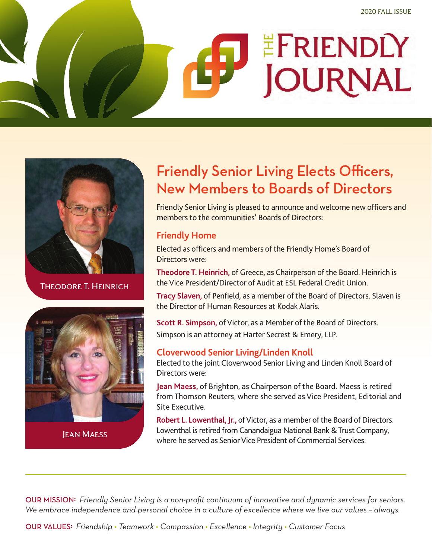# EFRIENDLY **JOURNAL**



Theodore T. Heinrich



### Friendly Senior Living Elects Officers, New Members to Boards of Directors

Friendly Senior Living is pleased to announce and welcome new officers and members to the communities' Boards of Directors:

### **Friendly Home**

Elected as officers and members of the Friendly Home's Board of Directors were:

**Theodore T. Heinrich,** of Greece, as Chairperson of the Board. Heinrich is the Vice President/Director of Audit at ESL Federal Credit Union.

**Tracy Slaven,** of Penfield, as a member of the Board of Directors. Slaven is the Director of Human Resources at Kodak Alaris.

**Scott R. Simpson,** of Victor, as a Member of the Board of Directors. Simpson is an attorney at Harter Secrest & Emery, LLP.

### **Cloverwood Senior Living/Linden Knoll**

Elected to the joint Cloverwood Senior Living and Linden Knoll Board of Directors were:

**Jean Maess,** of Brighton, as Chairperson of the Board. Maess is retired from Thomson Reuters, where she served as Vice President, Editorial and Site Executive.

**Robert L. Lowenthal, Jr.,** of Victor, as a member of the Board of Directors. Lowenthal is retired from Canandaigua National Bank & Trust Company, where he served as Senior Vice President of Commercial Services. Jean Maess

OUR MISSION<sup>:</sup> Friendly Senior Living is a non-profit continuum of innovative and dynamic services for seniors. *We embrace independence and personal choice in a culture of excellence where we live our values – always.*

OURVALUES﹕*Friendship • Teamwork • Compassion • Excellence • Integrity • Customer Focus*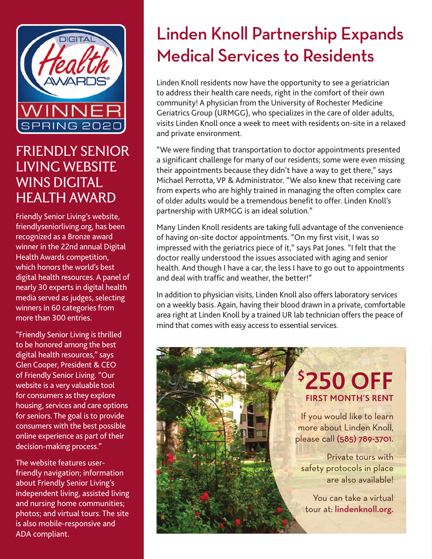

### FRIENDLY SENIOR LIVING WEBSITE WINS DIGITAL HEALTH AWARD

Friendly Senior Living's website, friendlyseniorliving.org, has been recognized as a Bronze award winner in the 22nd annual Digital Health Awards competition, which honors the world's best digital health resources. A panel of nearly 30 experts in digital health media served as judges, selecting winners in 60 categories from more than 300 entries.

"Friendly Senior Living is thrilled to be honored among the best digital health resources," says Glen Cooper, President & CEO of Friendly Senior Living. "Our website is a very valuable tool for consumers as they explore housing, services and care options for seniors. The goal is to provide consumers with the best possible online experience as part of their decision-making process."

The website features userfriendly navigation; information about Friendly Senior Living's independent living, assisted living and nursing home communities; photos; and virtual tours. The site is also mobile-responsive and ADA compliant.

# Linden Knoll Partnership Expands Medical Services to Residents

Linden Knoll residents now have the opportunity to see a geriatrician to address their health care needs, right in the comfort of their own community! A physician from the University of Rochester Medicine Geriatrics Group (URMGG), who specializes in the care of older adults, visits Linden Knoll once a week to meet with residents on-site in a relaxed and private environment.

"We were finding that transportation to doctor appointments presented a significant challenge for many of our residents; some were even missing their appointments because they didn't have a way to get there," says Michael Perrotta, VP & Administrator. "We also knew that receiving care from experts who are highly trained in managing the often complex care of older adults would be a tremendous benefit to offer. Linden Knoll's partnership with URMGG is an ideal solution."

Many Linden Knoll residents are taking full advantage of the convenience of having on-site doctor appointments. "On my first visit, I was so impressed with the geriatrics piece of it," says Pat Jones. "I felt that the doctor really understood the issues associated with aging and senior health. And though I have a car, the less I have to go out to appointments and deal with traffic and weather, the better!"

In addition to physician visits, Linden Knoll also offers laboratory services on a weekly basis. Again, having their blood drawn in a private, comfortable area right at Linden Knoll by a trained UR lab technician offers the peace of mind that comes with easy access to essential services.

### **\$ 250 OFF FIRST MONTH'S RENT**

If you would like to learn more about Linden Knoll, please call (585) 789-3701.

Private tours with safety protocols in place are also available!

You can take a virtual tour at: lindenknoll.org.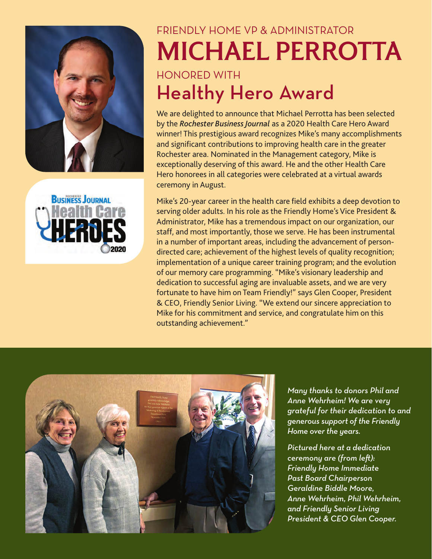



# FRIENDLY HOME VP & ADMINISTRATOR MICHAEL PERROTTA HONORED-WITH-Healthy Hero Award

We are delighted to announce that Michael Perrotta has been selected by the *Rochester Business Journal* as a 2020 Health Care Hero Award winner! This prestigious award recognizes Mike's many accomplishments and significant contributions to improving health care in the greater Rochester area. Nominated in the Management category, Mike is exceptionally deserving of this award. He and the other Health Care Hero honorees in all categories were celebrated at a virtual awards ceremony in August.

Mike's 20-year career in the health care field exhibits a deep devotion to serving older adults. In his role as the Friendly Home's Vice President & Administrator, Mike has a tremendous impact on our organization, our staff, and most importantly, those we serve. He has been instrumental in a number of important areas, including the advancement of persondirected care; achievement of the highest levels of quality recognition; implementation of a unique career training program; and the evolution of our memory care programming. "Mike's visionary leadership and dedication to successful aging are invaluable assets, and we are very fortunate to have him on Team Friendly!" says Glen Cooper, President & CEO, Friendly Senior Living. "We extend our sincere appreciation to Mike for his commitment and service, and congratulate him on this outstanding achievement."



*Many thanks to donors Phil and Anne Wehrheim! We are very grateful for their dedication to and generous support of the Friendly Home over the years.*

*Pictured here at a dedication ceremony are (from le-): Friendly Home Immediate Past Board Chairperson Geraldine Biddle Moore, Anne Wehrheim, Phil Wehrheim, and Friendly Senior Living President & CEO Glen Cooper.*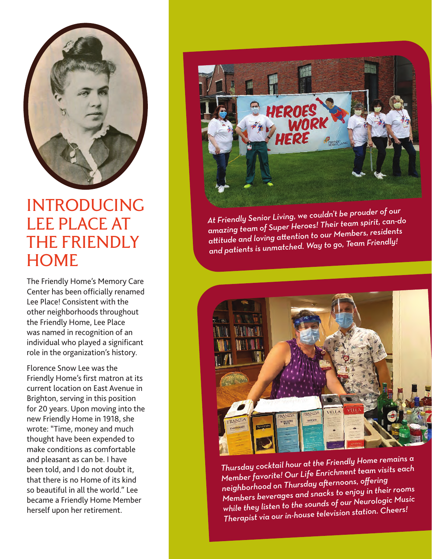

### INTRODUCING LEE PLACE AT THE FRIENDLY **HOME**

The Friendly Home's Memory Care Center has been officially renamed Lee Place! Consistent with the other neighborhoods throughout the Friendly Home, Lee Place was named in recognition of an individual who played a significant role in the organization's history.

Florence Snow Lee was the Friendly Home's first matron at its current location on East Avenue in Brighton, serving in this position for 20 years. Upon moving into the new Friendly Home in 1918, she wrote: "Time, money and much thought have been expended to make conditions as comfortable and pleasant as can be. I have been told, and I do not doubt it, that there is no Home of its kind so beautiful in all the world." Lee became a Friendly Home Member herself upon her retirement.



*At Friendly Senior Living, we couldn't be prouder of our amazing team of Super Heroes! Their team spirit, can-do aitude and loving aention to our Members, residents and patients is unmatched. Way to go, Team Friendly!*



*Thursday cocktail hour at the Friendly Home remains a Member favorite! Our Life Enrichment team visits eac<sup>h</sup>* member favorited on the search offering<br><sub>neighborhood on Thursday afternoons, offering</sub> *Members beverages and snacks to enjoy in their rooms while they listen to the sounds of our Neurologic Music Therapist via our in-house television station. Cheers!*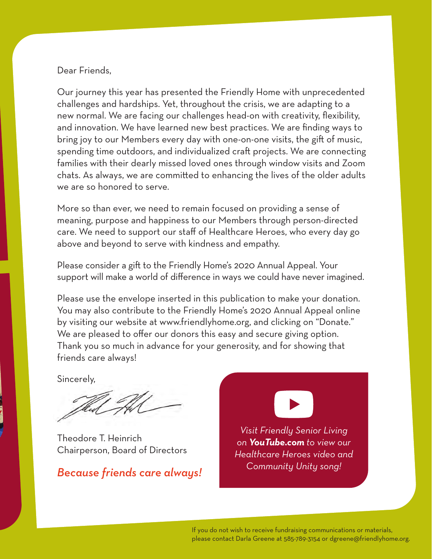### Dear Friends,

Our journey this year has presented the Friendly Home with unprecedented challenges and hardships. Yet, throughout the crisis, we are adapting to a new normal. We are facing our challenges head-on with creativity, flexibility, and innovation. We have learned new best practices. We are finding ways to bring joy to our Members every day with one-on-one visits, the gift of music, spending time outdoors, and individualized craft projects. We are connecting families with their dearly missed loved ones through window visits and Zoom chats. As always, we are committed to enhancing the lives of the older adults we are so honored to serve.

More so than ever, we need to remain focused on providing a sense of meaning, purpose and happiness to our Members through person-directed care. We need to support our staff of Healthcare Heroes, who every day go above and beyond to serve with kindness and empathy.

Please consider a gift to the Friendly Home's 2020 Annual Appeal. Your support will make a world of difference in ways we could have never imagined.

Please use the envelope inserted in this publication to make your donation. You may also contribute to the Friendly Home's 2020 Annual Appeal online by visiting our website at www.friendlyhome.org, and clicking on "Donate." We are pleased to offer our donors this easy and secure giving option. Thank you so much in advance for your generosity, and for showing that friends care always!

Sincerely,

Theodore T. Heinrich Chairperson, Board of Directors

*Because friends care always!*



*Visit Friendly Senior Living on YouTube.com to view our Healthcare Heroes video and Community Unity song!*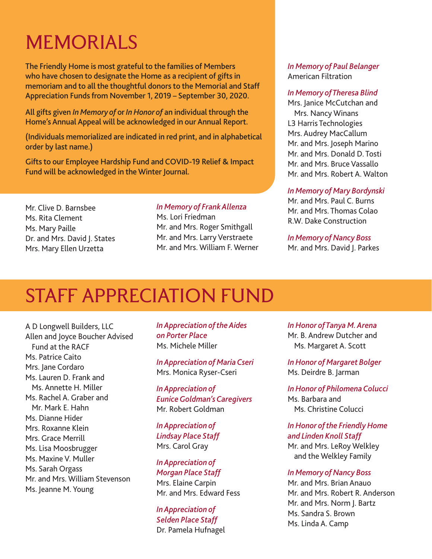## **MEMORIALS**

**The Friendly Home is most grateful to the families of Members who have chosen to designate the Home as a recipient of gifts in memoriam and to all the thoughtful donors to the Memorial and Staff Appreciation Funds from November 1, 2019 – September 30, 2020.**

**All gifts given** *In Memory of* **or** *In Honor of* **an individual through the Home's Annual Appeal will be acknowledged in our Annual Report.**

**(Individuals memorialized are indicated in red print, and in alphabetical order by last name.)**

**Gifts to our Employee Hardship Fund and COVID-19 Relief & Impact Fund will be acknowledged in the Winter Journal.**

Mr. Clive D. Barnsbee Ms. Rita Clement Ms. Mary Paille Dr. and Mrs. David J. States Mrs. Mary Ellen Urzetta

### *In Memory of Frank Allenza*

Ms. Lori Friedman Mr. and Mrs. Roger Smithgall Mr. and Mrs. Larry Verstraete Mr. and Mrs. William F. Werner

### *In Memory of Paul Belanger* American Filtration

### *In Memory of Theresa Blind*

Mrs. Janice McCutchan and Mrs. Nancy Winans L3 Harris Technologies Mrs. Audrey MacCallum Mr. and Mrs. Joseph Marino Mr. and Mrs. Donald D. Tosti Mr. and Mrs. Bruce Vassallo Mr. and Mrs. Robert A. Walton

#### *In Memory of Mary Bordynski*

Mr. and Mrs. Paul C. Burns Mr. and Mrs. Thomas Colao R.W. Dake Construction

*In Memory of Nancy Boss* Mr. and Mrs. David J. Parkes

### STAFF APPRECIATION FUND

A D Longwell Builders, LLC Allen and Joyce Boucher Advised Fund at the RACF Ms. Patrice Caito Mrs. Jane Cordaro Ms. Lauren D. Frank and Ms. Annette H. Miller Ms. Rachel A. Graber and Mr. Mark E. Hahn Ms. Dianne Hider Mrs. Roxanne Klein Mrs. Grace Merrill Ms. Lisa Moosbrugger Ms. Maxine V. Muller Ms. Sarah Orgass Mr. and Mrs. William Stevenson Ms. Jeanne M. Young

*In Appreciation of the Aides on Porter Place*  Ms. Michele Miller

*In Appreciation of Maria Cseri*  Mrs. Monica Ryser-Cseri

*In Appreciation of Eunice Goldman's Caregivers*  Mr. Robert Goldman

*In Appreciation of Lindsay Place Staff*  Mrs. Carol Gray

*In Appreciation of Morgan Place Staff*  Mrs. Elaine Carpin Mr. and Mrs. Edward Fess

*In Appreciation of Selden Place Staff*  Dr. Pamela Hufnagel *In Honor of Tanya M. Arena*  Mr. B. Andrew Dutcher and Ms. Margaret A. Scott

*In Honor of Margaret Bolger*  Ms. Deirdre B. Jarman

*In Honor of Philomena Colucci*  Ms. Barbara and Ms. Christine Colucci

*In Honor of the Friendly Home and Linden Knoll Staff*  Mr. and Mrs. LeRoy Welkley

and the Welkley Family

*In Memory of Nancy Boss*  Mr. and Mrs. Brian Anauo Mr. and Mrs. Robert R. Anderson Mr. and Mrs. Norm J. Bartz Ms. Sandra S. Brown Ms. Linda A. Camp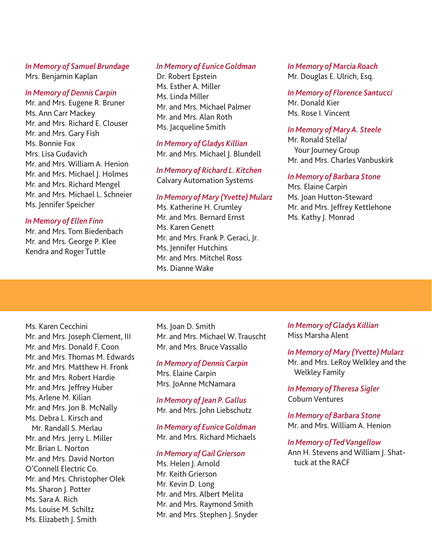### *In Memory of Samuel Brundage* Mrs. Benjamin Kaplan

### *In Memory of Dennis Carpin*

Mr. and Mrs. Eugene R. Bruner Ms. Ann Carr Mackey Mr. and Mrs. Richard E. Clouser Mr. and Mrs. Gary Fish Ms. Bonnie Fox Mrs. Lisa Gudavich Mr. and Mrs. William A. Henion Mr. and Mrs. Michael I. Holmes Mr. and Mrs. Richard Mengel Mr. and Mrs. Michael L. Schneier Ms. Jennifer Speicher

#### *In Memory of Ellen Finn*

Mr. and Mrs. Tom Biedenbach Mr. and Mrs. George P. Klee Kendra and Roger Tuttle

#### *In Memory of Eunice Goldman*

Dr. Robert Epstein Ms. Esther A. Miller Ms. Linda Miller Mr. and Mrs. Michael Palmer Mr. and Mrs. Alan Roth Ms. Jacqueline Smith

#### *In Memory of Gladys Killian* Mr. and Mrs. Michael J. Blundell

*In Memory of Richard L. Kitchen* Calvary Automation Systems

### *In Memory of Mary (Yvette) Mularz*

Ms. Katherine H. Crumley Mr. and Mrs. Bernard Ernst Ms. Karen Genett Mr. and Mrs. Frank P. Geraci, Jr. Ms. Jennifer Hutchins Mr. and Mrs. Mitchel Ross Ms. Dianne Wake

### *In Memory of Marcia Roach*

Mr. Douglas E. Ulrich, Esq.

*In Memory of Florence Santucci* Mr. Donald Kier Ms. Rose I. Vincent

### *In Memory of Mary A. Steele*

Mr. Ronald Stella/ Your Journey Group Mr. and Mrs. Charles Vanbuskirk

### *In Memory of Barbara Stone*

Mrs. Elaine Carpin Ms. Joan Hutton-Steward Mr. and Mrs. Jeffrey Kettlehone Ms. Kathy J. Monrad

Ms. Karen Cecchini Mr. and Mrs. Joseph Clement, III Mr. and Mrs. Donald F. Coon Mr. and Mrs. Thomas M. Edwards Mr. and Mrs. Matthew H. Fronk Mr. and Mrs. Robert Hardie Mr. and Mrs. Jeffrey Huber Ms. Arlene M. Kilian Mr. and Mrs. Jon B. McNally Ms. Debra L. Kirsch and Mr. Randall S. Merlau Mr. and Mrs. Jerry L. Miller Mr. Brian L. Norton Mr. and Mrs. David Norton O'Connell Electric Co. Mr. and Mrs. Christopher Olek Ms. Sharon J. Potter Ms. Sara A. Rich Ms. Louise M. Schiltz Ms. Elizabeth J. Smith

Ms. Joan D. Smith Mr. and Mrs. Michael W. Trauscht Mr. and Mrs. Bruce Vassallo

#### *In Memory of Dennis Carpin*

Mrs. Elaine Carpin Mrs. JoAnne McNamara

*In Memory of Jean P. Gallus*  Mr. and Mrs. John Liebschutz

*In Memory of Eunice Goldman*  Mr. and Mrs. Richard Michaels

### *In Memory of Gail Grierson*

Ms. Helen I. Arnold Mr. Keith Grierson Mr. Kevin D. Long Mr. and Mrs. Albert Melita Mr. and Mrs. Raymond Smith Mr. and Mrs. Stephen J. Snyder *In Memory of Gladys Killian*  Miss Marsha Alent

### *In Memory of Mary (Yvette) Mularz*

Mr. and Mrs. LeRoy Welkley and the Welkley Family

*In Memory of Theresa Sigler*  Coburn Ventures

*In Memory of Barbara Stone*  Mr. and Mrs. William A. Henion

#### *In Memory of Ted Vangellow*

Ann H. Stevens and William J. Shattuck at the RACF